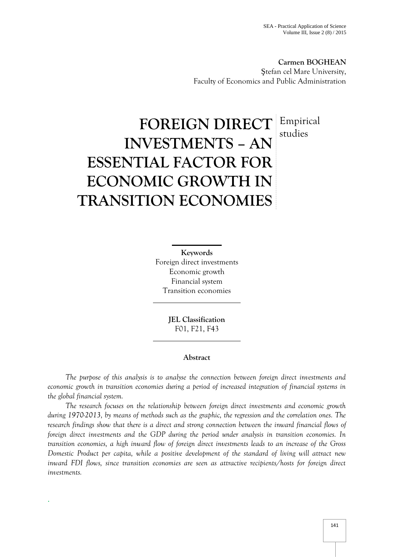**Carmen BOGHEAN** tefan cel Mare University, Faculty of Economics and Public Administration

# **FOREIGN DIRECT INVESTMENTS – AN ESSENTIAL FACTOR FOR ECONOMIC GROWTH IN TRANSITION ECONOMIES** Empirical studies

**Keywords** Foreign direct investments Economic growth Financial system Transition economies

> **JEL Classification** F01, F21, F43

### **Abstract**

*The purpose of this analysis is to analyse the connection between foreign direct investments and economic growth in transition economies during a period of increased integration of financial systems in the global financial system.*

*The research focuses on the relationship between foreign direct investments and economic growth during 1970-2013, by means of methods such as the graphic, the regression and the correlation ones. The research findings show that there is a direct and strong connection between the inward financial flows of foreign direct investments and the GDP during the period under analysis in transition economies. In transition economies, a high inward flow of foreign direct investments leads to an increase of the Gross Domestic Product per capita, while a positive development of the standard of living will attract new inward FDI flows, since transition economies are seen as attractive recipients/hosts for foreign direct investments.*

.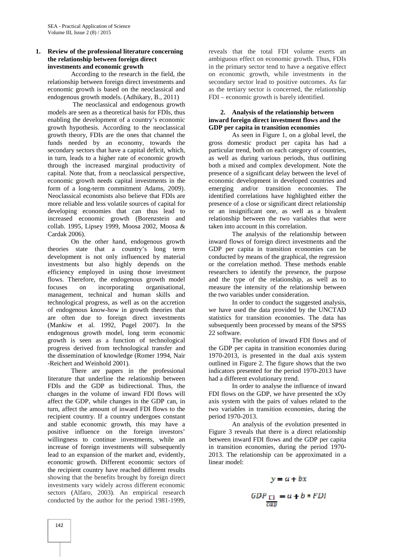## **1. Review of the professional literature concerning the relationship between foreign direct investments and economic growth**

According to the research in the field, the relationship between foreign direct investments and economic growth is based on the neoclassical and endogenous growth models. (Adhikary, B., 2011)

The neoclassical and endogenous growth models are seen as a theoretical basis for FDIs, thus enabling the development of a country's economic growth hypothesis. According to the neoclassical growth theory, FDIs are the ones that channel the funds needed by an economy, towards the secondary sectors that have a capital deficit, which, in turn, leads to a higher rate of economic growth through the increased marginal productivity of capital. Note that, from a neoclassical perspective, economic growth needs capital investments in the form of a long-term commitment Adams, 2009). Neoclassical economists also believe that FDIs are more reliable and less volatile sources of capital for developing economies that can thus lead to increased economic growth (Borenzstein and collab. 1995, Lipsey 1999, Moosa 2002, Moosa & Cardak 2006).

On the other hand, endogenous growth theories state that a country's long term development is not only influenced by material investments but also highly depends on the efficiency employed in using those investment flows. Therefore, the endogenous growth model focuses on incorporating organisational, management, technical and human skills and technological progress, as well as on the accretion of endogenous know-how in growth theories that are often due to foreign direct investments (Mankiw et al. 1992, Pugel 2007). In the endogenous growth model, long term economic growth is seen as a function of technological progress derived from technological transfer and the dissemination of knowledge (Romer 1994, Nair -Reichert and Weinhold 2001).

There are papers in the professional literature that underline the relationship between FDIs and the GDP as bidirectional. Thus, the changes in the volume of inward FDI flows will affect the GDP, while changes in the GDP can, in turn, affect the amount of inward FDI flows to the recipient country. If a country undergoes constant and stable economic growth, this may have a positive influence on the foreign investors' willingness to continue investments, while an increase of foreign investments will subsequently lead to an expansion of the market and, evidently, economic growth. Different economic sectors of the recipient country have reached different results showing that the benefits brought by foreign direct investments vary widely across different economic sectors (Alfaro, 2003). An empirical research conducted by the author for the period 1981-1999,

reveals that the total FDI volume exerts an ambiguous effect on economic growth. Thus, FDIs in the primary sector tend to have a negative effect on economic growth, while investments in the secondary sector lead to positive outcomes. As far as the tertiary sector is concerned, the relationship FDI – economic growth is barely identified.

### **2. Analysis of the relationship between inward foreign direct investment flows and the GDP per capita in transition economies**

As seen in Figure 1, on a global level, the gross domestic product per capita has had a particular trend, both on each category of countries, as well as during various periods, thus outlining both a mixed and complex development. Note the presence of a significant delay between the level of economic development in developed countries and emerging and/or transition economies. The identified correlations have highlighted either the presence of a close or significant direct relationship or an insignificant one, as well as a bivalent relationship between the two variables that were taken into account in this correlation.

The analysis of the relationship between inward flows of foreign direct investments and the GDP per capita in transition economies can be conducted by means of the graphical, the regression or the correlation method. These methods enable researchers to identify the presence, the purpose and the type of the relationship, as well as to measure the intensity of the relationship between the two variables under consideration.

In order to conduct the suggested analysis, we have used the data provided by the UNCTAD statistics for transition economies. The data has subsequently been processed by means of the SPSS 22 software.

The evolution of inward FDI flows and of the GDP per capita in transition economies during 1970-2013, is presented in the dual axis system outlined in Figure 2. The figure shows that the two indicators presented for the period 1970-2013 have had a different evolutionary trend.

In order to analyse the influence of inward FDI flows on the GDP, we have presented the xOy axis system with the pairs of values related to the two variables in transition economies, during the period 1970-2013.

An analysis of the evolution presented in Figure 3 reveals that there is a direct relationship between inward FDI flows and the GDP per capita in transition economies, during the period 1970- 2013. The relationship can be approximated in a linear model:

$$
y = a + bx
$$
  
GDP<sub>13</sub> = a + b \* FD!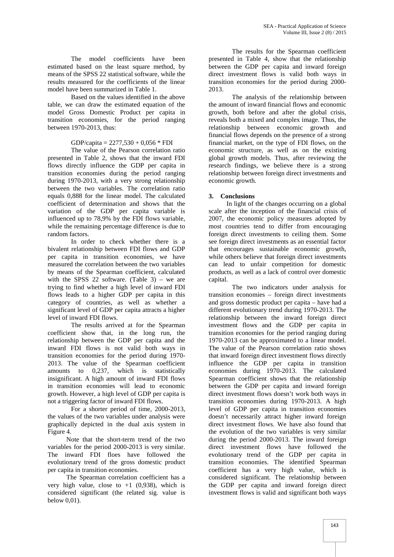The model coefficients have been estimated based on the least square method, by means of the SPSS 22 statistical software, while the results measured for the coefficients of the linear model have been summarized in Table 1.

Based on the values identified in the above table, we can draw the estimated equation of the model Gross Domestic Product per capita in transition economies, for the period ranging between 1970-2013, thus:

GDP/capita =  $2277,530 + 0,056 * FDI$ 

The value of the Pearson correlation ratio presented in Table 2, shows that the inward FDI flows directly influence the GDP per capita in transition economies during the period ranging during 1970-2013, with a very strong relationship between the two variables. The correlation ratio equals 0,888 for the linear model. The calculated coefficient of determination and shows that the variation of the GDP per capita variable is influenced up to 78,9% by the FDI flows variable, while the remaining percentage difference is due to random factors.

In order to check whether there is a bivalent relationship between FDI flows and GDP per capita in transition economies, we have measured the correlation between the two variables by means of the Spearman coefficient, calculated with the SPSS 22 software. (Table 3) – we are trying to find whether a high level of inward FDI flows leads to a higher GDP per capita in this category of countries, as well as whether a significant level of GDP per capita attracts a higher level of inward FDI flows.

The results arrived at for the Spearman coefficient show that, in the long run, the relationship between the GDP per capita and the inward FDI flows is not valid both ways in transition economies for the period during 1970- 2013. The value of the Spearman coefficient amounts to 0,237, which is statistically insignificant. A high amount of inward FDI flows in transition economies will lead to economic growth. However, a high level of GDP per capita is not a triggering factor of inward FDI flows.

For a shorter period of time, 2000-2013, the values of the two variables under analysis were graphically depicted in the dual axis system in Figure 4.

Note that the short-term trend of the two variables for the period 2000-2013 is very similar. The inward FDI floes have followed the evolutionary trend of the gross domestic product per capita in transition economies.

The Spearman correlation coefficient has a very high value, close to  $+1$  (0,938), which is considered significant (the related sig. value is below 0,01).

The results for the Spearman coefficient presented in Table 4, show that the relationship between the GDP per capita and inward foreign direct investment flows is valid both ways in transition economies for the period during 2000- 2013.

The analysis of the relationship between the amount of inward financial flows and economic growth, both before and after the global crisis, reveals both a mixed and complex image. Thus, the relationship between economic growth and financial flows depends on the presence of a strong financial market, on the type of FDI flows, on the economic structure, as well as on the existing global growth models. Thus, after reviewing the research findings, we believe there is a strong relationship between foreign direct investments and economic growth.

## **3. Conclusions**

In light of the changes occurring on a global scale after the inception of the financial crisis of 2007, the economic policy measures adopted by most countries tend to differ from encouraging foreign direct investments to ceiling them. Some see foreign direct investments as an essential factor that encourages sustainable economic growth, while others believe that foreign direct investments can lead to unfair competition for domestic products, as well as a lack of control over domestic capital.

The two indicators under analysis for transition economies – foreign direct investments and gross domestic product per capita – have had a different evolutionary trend during 1970-2013. The relationship between the inward foreign direct investment flows and the GDP per capita in transition economies for the period ranging during 1970-2013 can be approximated to a linear model. The value of the Pearson correlation ratio shows that inward foreign direct investment flows directly influence the GDP per capita in transition economies during 1970-2013. The calculated Spearman coefficient shows that the relationship between the GDP per capita and inward foreign direct investment flows doesn't work both ways in transition economies during 1970-2013. A high level of GDP per capita in transition economies doesn't necessarily attract higher inward foreign direct investment flows. We have also found that the evolution of the two variables is very similar during the period 2000-2013. The inward foreign direct investment flows have followed the evolutionary trend of the GDP per capita in transition economies. The identified Spearman coefficient has a very high value, which is considered significant. The relationship between the GDP per capita and inward foreign direct investment flows is valid and significant both ways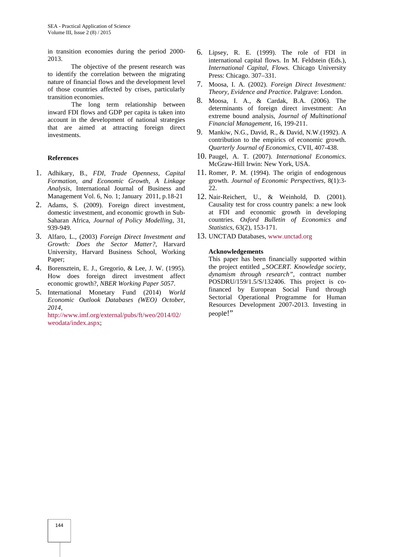in transition economies during the period 2000- 2013.

The objective of the present research was to identify the correlation between the migrating nature of financial flows and the development level  $\frac{7}{1}$ of those countries affected by crises, particularly transition economies.

The long term relationship between 8. inward FDI flows and GDP per capita is taken into account in the development of national strategies that are aimed at attracting foreign direct investments.

#### **References**

- 1. Adhikary, B., *FDI, Trade Openness, Capital Formation, and Economic Growth, A Linkage Analysis*, International Journal of Business and Management Vol. 6, No. 1; January 2011, p.18-21
- 2. Adams, S. (2009). Foreign direct investment, domestic investment, and economic growth in Sub- Saharan Africa, *Journal of Policy Modelling*, 31, 939-949.
- 3. Alfaro, L., (2003) *Foreign Direct Investment and Growth: Does the Sector Matter?,* Harvard University, Harvard Business School, Working Paper;
- 4. Borensztein, E. J., Gregorio, & Lee, J. W. (1995). How does foreign direct investment affect economic growth?, *NBER Working Paper 5057*.
- 5. International Monetary Fund (2014) *World Economic Outlook Databases (WEO) October, 2014,*

http://www.imf.org/external/pubs/ft/weo/2014/02/ weodata/index.aspx;

- 6. Lipsey, R. E. (1999). The role of FDI in international capital flows. In M. Feldstein (Eds.), *International Capital, Flows*. Chicago University Press: Chicago. 307–331.
- 7. Moosa, I. A. (2002). *Foreign Direct Investment: Theory, Evidence and Practice*. Palgrave: London.
- 8. Moosa, I. A., & Cardak, B.A. (2006). The determinants of foreign direct investment: An extreme bound analysis, *Journal of Multinational Financial Management*, 16, 199-211.
- 9. Mankiw, N.G., David, R., & David, N.W.(1992). A contribution to the empirics of economic growth. *Quarterly Journal of Economics*, CVII, 407-438.
- 10. Paugel, A. T. (2007). *International Economics*. McGraw-Hill Irwin: New York, USA.
- 11. Romer, P. M. (1994). The origin of endogenous growth. *Journal of Economic Perspectives,* 8(1):3- 22.
- 12. Nair-Reichert, U., & Weinhold, D. (2001). Causality test for cross country panels: a new look at FDI and economic growth in developing countries. *Oxford Bulletin of Economics and Statistics*, 63(2), 153-171.
- 13. UNCTAD Databases, www.unctad.org

#### **Acknowledgements**

This paper has been financially supported within the project entitled *"SOCERT. Knowledge society, dynamism through research",* contract number POSDRU/159/1.5/S/132406. This project is cofinanced by European Social Fund through Sectorial Operational Programme for Human Resources Development 2007-2013. Investing in people!"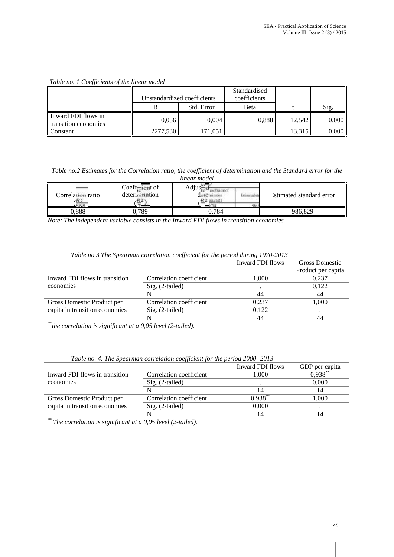# *Table no. 1 Coefficients of the linear model*

|                                             | Unstandardized coefficients |            | Standardised<br>coefficients |        |       |
|---------------------------------------------|-----------------------------|------------|------------------------------|--------|-------|
|                                             |                             | Std. Error | Beta                         |        | Sig.  |
| Inward FDI flows in<br>transition economies | 0,056                       | 0.004      | 0.888                        | 12.542 | 0,000 |
| Constant                                    | 2277,530                    | 171.051    |                              | 13,315 | 0,000 |

*Table no.2 Estimates for the Correlation ratio, the coefficient of determination and the Standard error for the linear model*

| Correlation ratio | Coeff-ient of<br>determination<br>$_{R2}$ | Adjus<br>зен о<br>$C$ et $C$ minution<br><b>Estimated sta</b><br>R <sub>2</sub> ajustat) |  | Estimated standard error |
|-------------------|-------------------------------------------|------------------------------------------------------------------------------------------|--|--------------------------|
| 888               |                                           | 0.784                                                                                    |  |                          |
| 0,888             | J,789                                     |                                                                                          |  | 986,829                  |

*Note: The independent variable consists in the Inward FDI flows in transition economies*

| Table no.3 The Spearman correlation coefficient for the period during 1970-2013 |  |
|---------------------------------------------------------------------------------|--|

| $\cdot$                                                   |                  |                       |
|-----------------------------------------------------------|------------------|-----------------------|
|                                                           | Inward FDI flows | <b>Gross Domestic</b> |
|                                                           |                  | Product per capita    |
| Correlation coefficient<br>Inward FDI flows in transition | 1,000            | 0,237                 |
| $Sig. (2-tailed)$                                         |                  | 0.122                 |
|                                                           | 44               | 44                    |
| Correlation coefficient<br>Gross Domestic Product per     | 0.237            | 1,000                 |
| capita in transition economies<br>Sig. (2-tailed)         | 0.122            |                       |
|                                                           | 44               | 44                    |
|                                                           |                  |                       |

*\*\*the correlation is significant at a 0,05 level (2-tailed).*

|                                |                         | Inward FDI flows | GDP per capita |
|--------------------------------|-------------------------|------------------|----------------|
| Inward FDI flows in transition | Correlation coefficient | 1,000            | $0,938$ **     |
| economies                      | $Sig. (2-tailed)$       |                  | 0,000          |
|                                | N                       |                  |                |
| Gross Domestic Product per     | Correlation coefficient | $0,938$ **       | 1,000          |
| capita in transition economies | Sig. (2-tailed)         | 0.000            |                |
|                                |                         |                  |                |

*Table no. 4. The Spearman correlation coefficient for the period 2000 -2013*

*\*\* The correlation is significant at a 0,05 level (2-tailed).*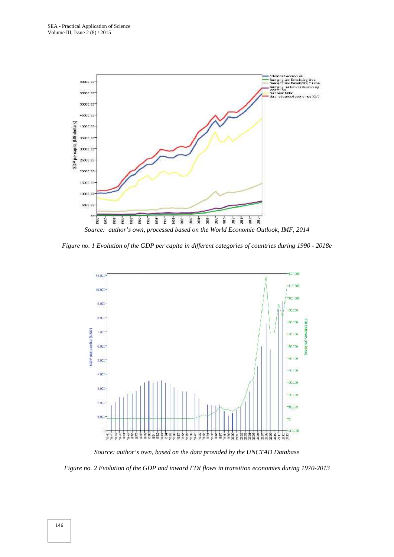



*Source: author's own, based on the data provided by the UNCTAD Database* 

*Figure no. 2 Evolution of the GDP and inward FDI flows in transition economies during 1970-2013 GDPand 1970-2013*